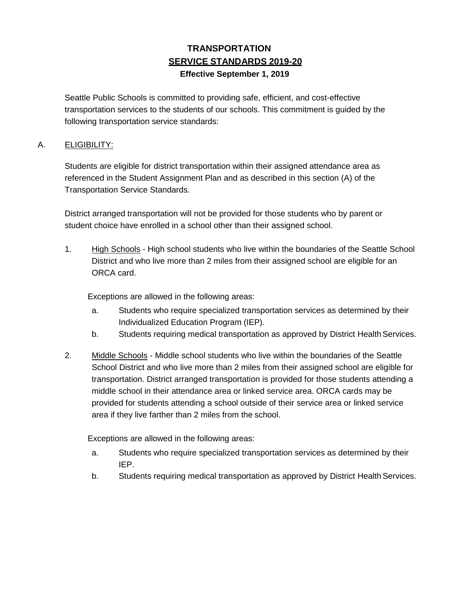# **TRANSPORTATION SERVICE STANDARDS 2019-20 Effective September 1, 2019**

Seattle Public Schools is committed to providing safe, efficient, and cost-effective transportation services to the students of our schools. This commitment is guided by the following transportation service standards:

#### A. **ELIGIBILITY:**

Students are eligible for district transportation within their assigned attendance area as referenced in the Student Assignment Plan and as described in this section (A) of the Transportation Service Standards.

District arranged transportation will not be provided for those students who by parent or student choice have enrolled in a school other than their assigned school.

1. High Schools - High school students who live within the boundaries of the Seattle School District and who live more than 2 miles from their assigned school are eligible for an ORCA card.

Exceptions are allowed in the following areas:

- a. Students who require specialized transportation services as determined by their Individualized Education Program (IEP).
- b. Students requiring medical transportation as approved by District Health Services.
- 2. Middle Schools Middle school students who live within the boundaries of the Seattle School District and who live more than 2 miles from their assigned school are eligible for transportation. District arranged transportation is provided for those students attending a middle school in their attendance area or linked service area. ORCA cards may be provided for students attending a school outside of their service area or linked service area if they live farther than 2 miles from the school.

Exceptions are allowed in the following areas:

- a. Students who require specialized transportation services as determined by their IEP.
- b. Students requiring medical transportation as approved by District Health Services.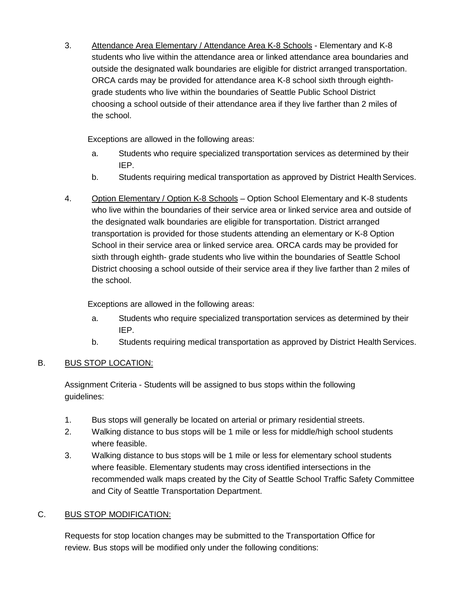3. Attendance Area Elementary / Attendance Area K-8 Schools - Elementary and K-8 students who live within the attendance area or linked attendance area boundaries and outside the designated walk boundaries are eligible for district arranged transportation. ORCA cards may be provided for attendance area K-8 school sixth through eighthgrade students who live within the boundaries of Seattle Public School District choosing a school outside of their attendance area if they live farther than 2 miles of the school.

Exceptions are allowed in the following areas:

- a. Students who require specialized transportation services as determined by their IEP.
- b. Students requiring medical transportation as approved by District Health Services.
- 4. Option Elementary / Option K-8 Schools Option School Elementary and K-8 students who live within the boundaries of their service area or linked service area and outside of the designated walk boundaries are eligible for transportation. District arranged transportation is provided for those students attending an elementary or K-8 Option School in their service area or linked service area. ORCA cards may be provided for sixth through eighth- grade students who live within the boundaries of Seattle School District choosing a school outside of their service area if they live farther than 2 miles of the school.

Exceptions are allowed in the following areas:

- a. Students who require specialized transportation services as determined by their IEP.
- b. Students requiring medical transportation as approved by District Health Services.

## B. BUS STOP LOCATION:

Assignment Criteria - Students will be assigned to bus stops within the following guidelines:

- 1. Bus stops will generally be located on arterial or primary residential streets.
- 2. Walking distance to bus stops will be 1 mile or less for middle/high school students where feasible.
- 3. Walking distance to bus stops will be 1 mile or less for elementary school students where feasible. Elementary students may cross identified intersections in the recommended walk maps created by the City of Seattle School Traffic Safety Committee and City of Seattle Transportation Department.

## C. BUS STOP MODIFICATION:

Requests for stop location changes may be submitted to the Transportation Office for review. Bus stops will be modified only under the following conditions: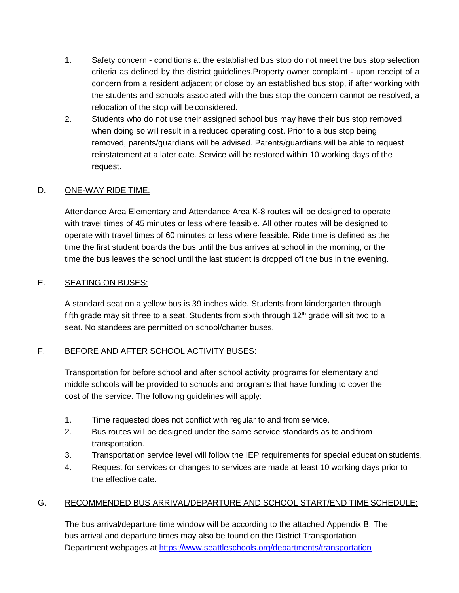- 1. Safety concern conditions at the established bus stop do not meet the bus stop selection criteria as defined by the district guidelines.Property owner complaint - upon receipt of a concern from a resident adjacent or close by an established bus stop, if after working with the students and schools associated with the bus stop the concern cannot be resolved, a relocation of the stop will be considered.
- 2. Students who do not use their assigned school bus may have their bus stop removed when doing so will result in a reduced operating cost. Prior to a bus stop being removed, parents/guardians will be advised. Parents/guardians will be able to request reinstatement at a later date. Service will be restored within 10 working days of the request.

#### D. ONE-WAY RIDE TIME:

Attendance Area Elementary and Attendance Area K-8 routes will be designed to operate with travel times of 45 minutes or less where feasible. All other routes will be designed to operate with travel times of 60 minutes or less where feasible. Ride time is defined as the time the first student boards the bus until the bus arrives at school in the morning, or the time the bus leaves the school until the last student is dropped off the bus in the evening.

#### E. SEATING ON BUSES:

A standard seat on a yellow bus is 39 inches wide. Students from kindergarten through fifth grade may sit three to a seat. Students from sixth through  $12<sup>th</sup>$  grade will sit two to a seat. No standees are permitted on school/charter buses.

#### F. BEFORE AND AFTER SCHOOL ACTIVITY BUSES:

Transportation for before school and after school activity programs for elementary and middle schools will be provided to schools and programs that have funding to cover the cost of the service. The following guidelines will apply:

- 1. Time requested does not conflict with regular to and from service.
- 2. Bus routes will be designed under the same service standards as to andfrom transportation.
- 3. Transportation service level will follow the IEP requirements for special education students.
- 4. Request for services or changes to services are made at least 10 working days prior to the effective date.

#### G. RECOMMENDED BUS ARRIVAL/DEPARTURE AND SCHOOL START/END TIME SCHEDULE:

The bus arrival/departure time window will be according to the attached Appendix B. The bus arrival and departure times may also be found on the District Transportation Department webpages at<https://www.seattleschools.org/departments/transportation>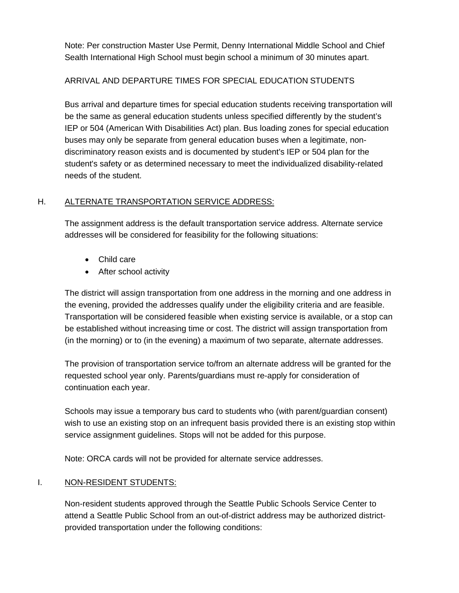Note: Per construction Master Use Permit, Denny International Middle School and Chief Sealth International High School must begin school a minimum of 30 minutes apart.

#### ARRIVAL AND DEPARTURE TIMES FOR SPECIAL EDUCATION STUDENTS

Bus arrival and departure times for special education students receiving transportation will be the same as general education students unless specified differently by the student's IEP or 504 (American With Disabilities Act) plan. Bus loading zones for special education buses may only be separate from general education buses when a legitimate, nondiscriminatory reason exists and is documented by student's IEP or 504 plan for the student's safety or as determined necessary to meet the individualized disability-related needs of the student.

#### H. ALTERNATE TRANSPORTATION SERVICE ADDRESS:

The assignment address is the default transportation service address. Alternate service addresses will be considered for feasibility for the following situations:

- Child care
- After school activity

The district will assign transportation from one address in the morning and one address in the evening, provided the addresses qualify under the eligibility criteria and are feasible. Transportation will be considered feasible when existing service is available, or a stop can be established without increasing time or cost. The district will assign transportation from (in the morning) or to (in the evening) a maximum of two separate, alternate addresses.

The provision of transportation service to/from an alternate address will be granted for the requested school year only. Parents/guardians must re-apply for consideration of continuation each year.

Schools may issue a temporary bus card to students who (with parent/guardian consent) wish to use an existing stop on an infrequent basis provided there is an existing stop within service assignment guidelines. Stops will not be added for this purpose.

Note: ORCA cards will not be provided for alternate service addresses.

#### I. NON-RESIDENT STUDENTS:

Non-resident students approved through the Seattle Public Schools Service Center to attend a Seattle Public School from an out-of-district address may be authorized districtprovided transportation under the following conditions: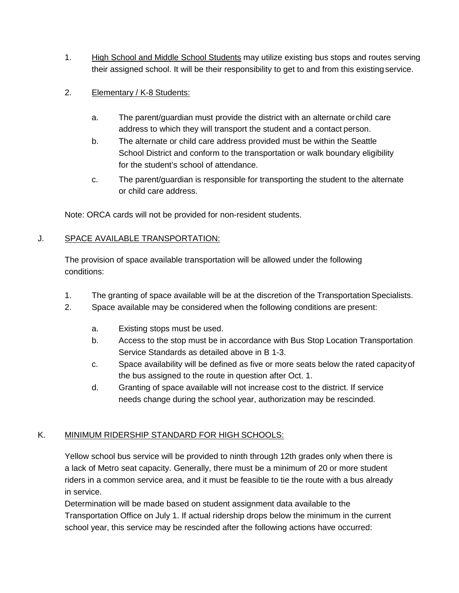1. High School and Middle School Students may utilize existing bus stops and routes serving their assigned school. It will be their responsibility to get to and from this existingservice.

### 2. Elementary / K-8 Students:

- a. The parent/guardian must provide the district with an alternate orchild care address to which they will transport the student and a contact person.
- b. The alternate or child care address provided must be within the Seattle School District and conform to the transportation or walk boundary eligibility for the student's school of attendance.
- c. The parent/guardian is responsible for transporting the student to the alternate or child care address.

Note: ORCA cards will not be provided for non-resident students.

#### J. SPACE AVAILABLE TRANSPORTATION:

The provision of space available transportation will be allowed under the following conditions:

- 1. The granting of space available will be at the discretion of the Transportation Specialists.
- 2. Space available may be considered when the following conditions are present:
	- a. Existing stops must be used.
	- b. Access to the stop must be in accordance with Bus Stop Location Transportation Service Standards as detailed above in B 1-3.
	- c. Space availability will be defined as five or more seats below the rated capacityof the bus assigned to the route in question after Oct. 1.
	- d. Granting of space available will not increase cost to the district. If service needs change during the school year, authorization may be rescinded.

## K. MINIMUM RIDERSHIP STANDARD FOR HIGH SCHOOLS:

Yellow school bus service will be provided to ninth through 12th grades only when there is a lack of Metro seat capacity. Generally, there must be a minimum of 20 or more student riders in a common service area, and it must be feasible to tie the route with a bus already in service.

Determination will be made based on student assignment data available to the Transportation Office on July 1. If actual ridership drops below the minimum in the current school year, this service may be rescinded after the following actions have occurred: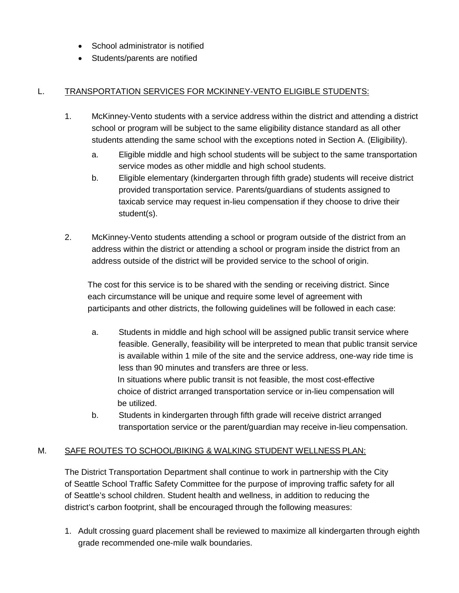- School administrator is notified
- Students/parents are notified

## L. TRANSPORTATION SERVICES FOR MCKINNEY-VENTO ELIGIBLE STUDENTS:

- 1. McKinney-Vento students with a service address within the district and attending a district school or program will be subject to the same eligibility distance standard as all other students attending the same school with the exceptions noted in Section A. (Eligibility).
	- a. Eligible middle and high school students will be subject to the same transportation service modes as other middle and high school students.
	- b. Eligible elementary (kindergarten through fifth grade) students will receive district provided transportation service. Parents/guardians of students assigned to taxicab service may request in-lieu compensation if they choose to drive their student(s).
- 2. McKinney-Vento students attending a school or program outside of the district from an address within the district or attending a school or program inside the district from an address outside of the district will be provided service to the school of origin.

The cost for this service is to be shared with the sending or receiving district. Since each circumstance will be unique and require some level of agreement with participants and other districts, the following guidelines will be followed in each case:

- a. Students in middle and high school will be assigned public transit service where feasible. Generally, feasibility will be interpreted to mean that public transit service is available within 1 mile of the site and the service address, one-way ride time is less than 90 minutes and transfers are three or less. In situations where public transit is not feasible, the most cost-effective choice of district arranged transportation service or in-lieu compensation will be utilized.
- b. Students in kindergarten through fifth grade will receive district arranged transportation service or the parent/guardian may receive in-lieu compensation.

## M. SAFE ROUTES TO SCHOOL/BIKING & WALKING STUDENT WELLNESS PLAN:

The District Transportation Department shall continue to work in partnership with the City of Seattle School Traffic Safety Committee for the purpose of improving traffic safety for all of Seattle's school children. Student health and wellness, in addition to reducing the district's carbon footprint, shall be encouraged through the following measures:

1. Adult crossing guard placement shall be reviewed to maximize all kindergarten through eighth grade recommended one-mile walk boundaries.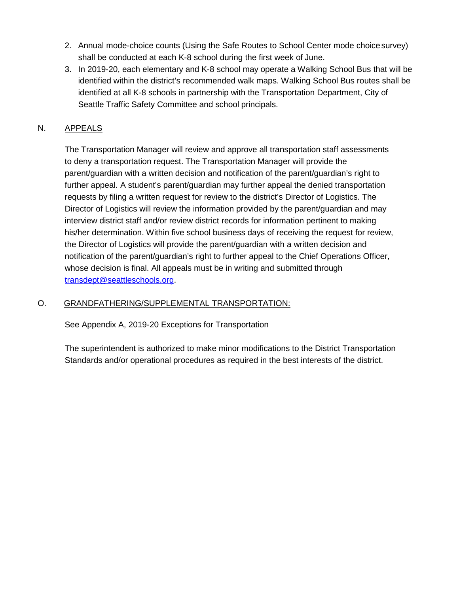- 2. Annual mode-choice counts (Using the Safe Routes to School Center mode choicesurvey) shall be conducted at each K-8 school during the first week of June.
- 3. In 2019-20, each elementary and K-8 school may operate a Walking School Bus that will be identified within the district's recommended walk maps. Walking School Bus routes shall be identified at all K-8 schools in partnership with the Transportation Department, City of Seattle Traffic Safety Committee and school principals.

### N. APPEALS

The Transportation Manager will review and approve all transportation staff assessments to deny a transportation request. The Transportation Manager will provide the parent/guardian with a written decision and notification of the parent/guardian's right to further appeal. A student's parent/guardian may further appeal the denied transportation requests by filing a written request for review to the district's Director of Logistics. The Director of Logistics will review the information provided by the parent/guardian and may interview district staff and/or review district records for information pertinent to making his/her determination. Within five school business days of receiving the request for review, the Director of Logistics will provide the parent/guardian with a written decision and notification of the parent/guardian's right to further appeal to the Chief Operations Officer, whose decision is final. All appeals must be in writing and submitted through [transdept@seattleschools.org.](mailto:transdept@seattleschools.org)

#### O. GRANDFATHERING/SUPPLEMENTAL TRANSPORTATION:

See Appendix A, 2019-20 Exceptions for Transportation

The superintendent is authorized to make minor modifications to the District Transportation Standards and/or operational procedures as required in the best interests of the district.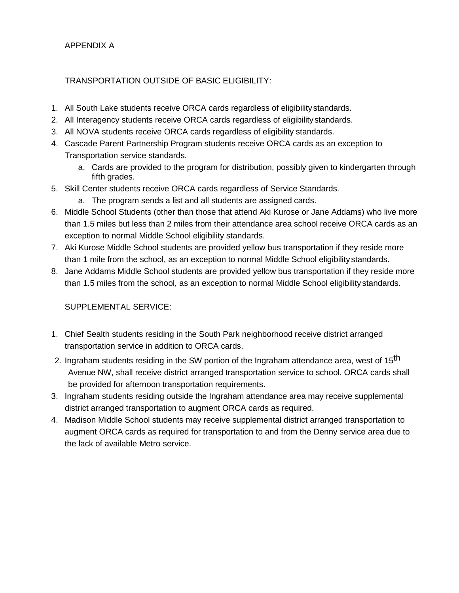APPENDIX A

### TRANSPORTATION OUTSIDE OF BASIC ELIGIBILITY:

- 1. All South Lake students receive ORCA cards regardless of eligibilitystandards.
- 2. All Interagency students receive ORCA cards regardless of eligibilitystandards.
- 3. All NOVA students receive ORCA cards regardless of eligibility standards.
- 4. Cascade Parent Partnership Program students receive ORCA cards as an exception to Transportation service standards.
	- a. Cards are provided to the program for distribution, possibly given to kindergarten through fifth grades.
- 5. Skill Center students receive ORCA cards regardless of Service Standards.
	- a. The program sends a list and all students are assigned cards.
- 6. Middle School Students (other than those that attend Aki Kurose or Jane Addams) who live more than 1.5 miles but less than 2 miles from their attendance area school receive ORCA cards as an exception to normal Middle School eligibility standards.
- 7. Aki Kurose Middle School students are provided yellow bus transportation if they reside more than 1 mile from the school, as an exception to normal Middle School eligibilitystandards.
- 8. Jane Addams Middle School students are provided yellow bus transportation if they reside more than 1.5 miles from the school, as an exception to normal Middle School eligibility standards.

SUPPLEMENTAL SERVICE:

- 1. Chief Sealth students residing in the South Park neighborhood receive district arranged transportation service in addition to ORCA cards.
- 2. Ingraham students residing in the SW portion of the Ingraham attendance area, west of 15<sup>th</sup> Avenue NW, shall receive district arranged transportation service to school. ORCA cards shall be provided for afternoon transportation requirements.
- 3. Ingraham students residing outside the Ingraham attendance area may receive supplemental district arranged transportation to augment ORCA cards as required.
- 4. Madison Middle School students may receive supplemental district arranged transportation to augment ORCA cards as required for transportation to and from the Denny service area due to the lack of available Metro service.